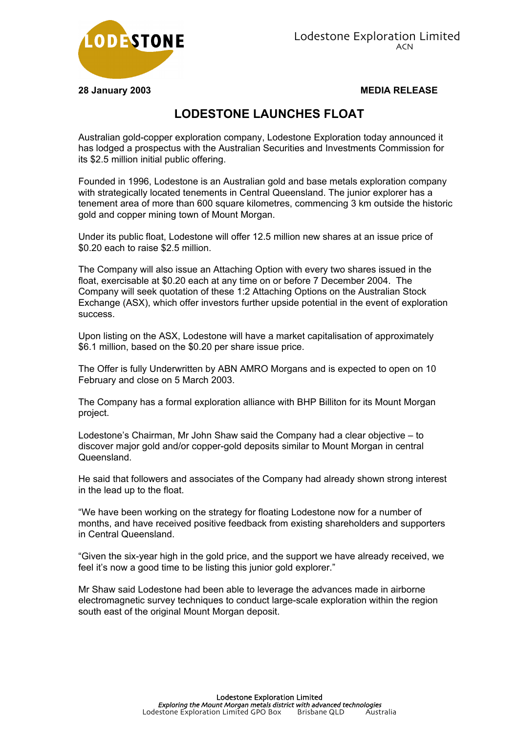

**28 January 2003 MEDIA RELEASE**

## **LODESTONE LAUNCHES FLOAT**

Australian gold-copper exploration company, Lodestone Exploration today announced it has lodged a prospectus with the Australian Securities and Investments Commission for its \$2.5 million initial public offering.

Founded in 1996, Lodestone is an Australian gold and base metals exploration company with strategically located tenements in Central Queensland. The junior explorer has a tenement area of more than 600 square kilometres, commencing 3 km outside the historic gold and copper mining town of Mount Morgan.

Under its public float, Lodestone will offer 12.5 million new shares at an issue price of \$0.20 each to raise \$2.5 million.

The Company will also issue an Attaching Option with every two shares issued in the float, exercisable at \$0.20 each at any time on or before 7 December 2004. The Company will seek quotation of these 1:2 Attaching Options on the Australian Stock Exchange (ASX), which offer investors further upside potential in the event of exploration success.

Upon listing on the ASX, Lodestone will have a market capitalisation of approximately \$6.1 million, based on the \$0.20 per share issue price.

The Offer is fully Underwritten by ABN AMRO Morgans and is expected to open on 10 February and close on 5 March 2003.

The Company has a formal exploration alliance with BHP Billiton for its Mount Morgan project.

Lodestone's Chairman, Mr John Shaw said the Company had a clear objective – to discover major gold and/or copper-gold deposits similar to Mount Morgan in central Queensland.

He said that followers and associates of the Company had already shown strong interest in the lead up to the float.

"We have been working on the strategy for floating Lodestone now for a number of months, and have received positive feedback from existing shareholders and supporters in Central Queensland.

"Given the six-year high in the gold price, and the support we have already received, we feel it's now a good time to be listing this junior gold explorer."

Mr Shaw said Lodestone had been able to leverage the advances made in airborne electromagnetic survey techniques to conduct large-scale exploration within the region south east of the original Mount Morgan deposit.